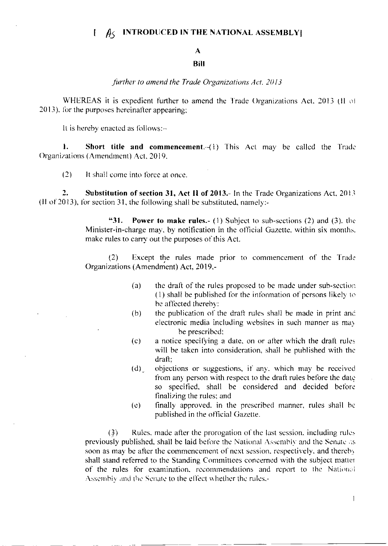#### **INTRODUCED IN THE NATIONAL ASSEMBLY**  $\mathbf{I}$  $A\zeta$

# $\mathbf{A}$

### **Bill**

#### further to amend the Trade Organizations Act. 2013

WHEREAS it is expedient further to amend the Trade Organizations Act, 2013 (II of 2013), for the purposes hereinafter appearing;

It is hereby enacted as follows:-

 $\mathbf{L}$ **Short title and commencement**.  $\left(\frac{1}{1}\right)$  This Act may be called the Trade Organizations (Amendment) Act, 2019.

 $(2)$ It shall come into force at once.

 $2.$ Substitution of section 31, Act II of 2013.- In the Trade Organizations Act, 2013  $(11 \text{ of } 2013)$ , for section 31, the following shall be substituted, namely:-

> $"31.$ **Power to make rules.** (1) Subject to sub-sections (2) and (3), the Minister-in-charge may, by notification in the official Gazette, within six months. make rules to carry out the purposes of this Act.

> Except the rules made prior to commencement of the Trade  $(2)$ Organizations (Amendment) Act, 2019,-

- $(a)$ the draft of the rules proposed to be made under sub-section (1) shall be published for the information of persons likely to be affected thereby:
- the publication of the draft rules shall be made in print and  $(b)$ electronic media including websites in such manner as may be prescribed;
- $(c)$ a notice specifying a date, on or after which the draft rules will be taken into consideration, shall be published with the draft:
- objections or suggestions, if any, which may be received  $(d)$ from any person with respect to the draft rules before the date so specified, shall be considered and decided before finalizing the rules; and
- finally approved, in the prescribed manner, rules shall be  $\left( c\right)$ published in the official Gazette.

 $(3)$ Rules, made after the prorogation of the last session, including rules previously published, shall be laid before the National Assembly and the Senate as soon as may be after the commencement of next session, respectively, and thereby shall stand referred to the Standing Committees concerned with the subject matter of the rules for examination, recommendations and report to the National Assembly and the Senate to the effect whether the rules.-